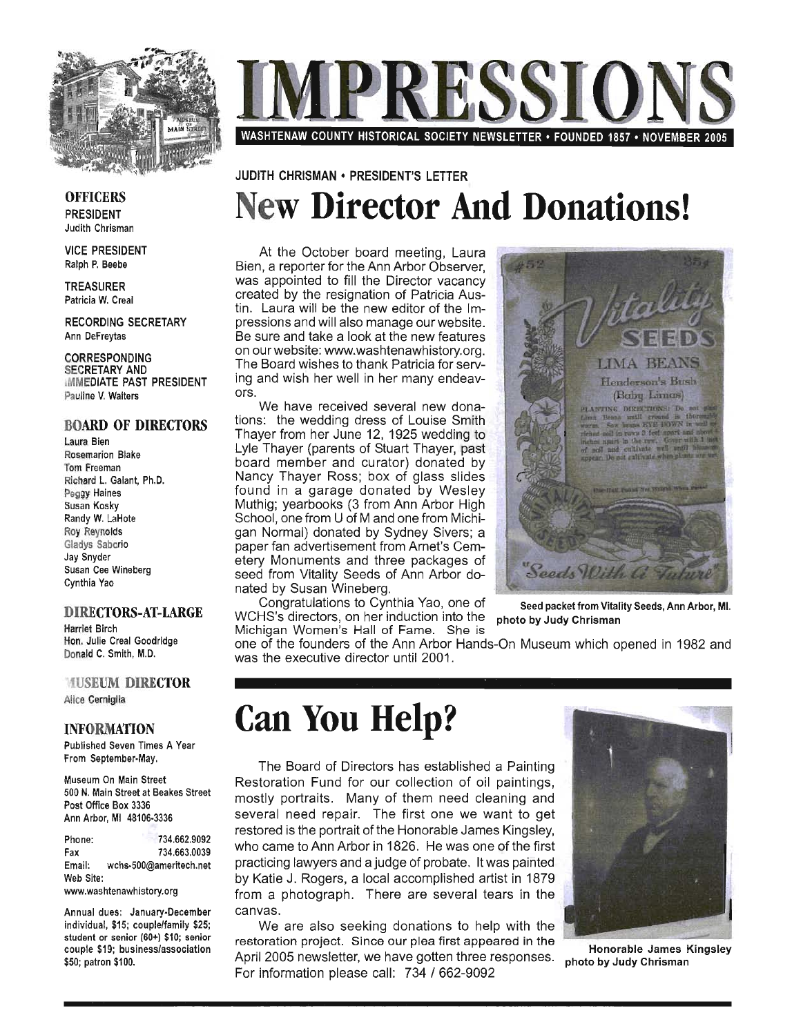

RESSIO WASHTENAW COUNTY HISTORICAL SOCIETY NEWSLETTER· FOUNDED 1857 • NOVEMBER 2005

### **OFFICERS** PRESIDENT Judith Chrisman

VICE PRESIDENT Ralph P. Beebe

TREASURER Patricia W. Creal

RECORDING SECRETARY Ann DeFreytas

CORRESPONDING SECRETARY AND iMMEDIATE PAST PRESIDENT Pauline V. Walters

### BOARD OF DIRECTORS

Laura Bien Rosemarion Blake Tom Freeman Richard L. Galant, Ph.D. Peggy Haines Susan Kosky Randy W. LaHote Roy Reynolds Gladys Saborio Jay Snyder Susan Cee Wineberg Cynthia Yao

#### DIRECTORS-AT-LARGE

Harriet Birch Hon. Julie Creal Goodridge Donald C. Smith, M.D.

### **MUSEUM DIRECTOR** Alice Cerniglia

INFORMATION

Published Seven Times A Year From September-May.

Museum On Main Street 500 N. Main Street at Beakes Street Post Office Box 3336 Ann Arbor, MI 48106-3336

Phone: Fax 734.662.9092 734.663.0039 Email: wchs-500@ameritech.net Web Site:

www.washtenawhistory.org

Annual dues: January-December individual, \$15; couple/family \$25; student or senior (60+) \$10; senior couple \$19; business/association \$50; patron \$100.

### JUDITH CHRISMAN • PRESIDENT'S LEITER

# **New Director And Donations!**

At the October board meeting, Laura Bien, a reporter for the Ann Arbor Observer, was appointed to fill the Director vacancy created by the resignation of Patricia Austin. Laura will be the new editor of the Impressions and will also manage our website. Be sure and take a look at the new features . on our website: www.washtenawhistory.org. The Board wishes to thank Patricia for serving and wish her well in her many endeavors.

We have received several new donations: the wedding dress of Louise Smith Thayer from her June 12, 1925 wedding to Lyle Thayer (parents of Stuart Thayer, past board member and curator) donated by Nancy Thayer Ross; box of glass slides found in a garage donated by Wesley Muthig; yearbooks (3 from Ann Arbor High School, one from U of M and one from Michigan Normal) donated by Sydney Sivers; a paper fan advertisement from Arnet's Cemetery Monuments and three packages of seed from Vitality Seeds of Ann Arbor donated by Susan Wineberg.

Congratulations to Cynthia Yao, one of Seed packet from Vitality Seeds, Ann Arbor, MI. WCHS's directors, on her induction into the photo by Judy Chrisman Michigan Women's Hall of Fame. She is



one of the founders of the Ann Arbor Hands-On Museum which opened in 1982 and was the executive director until 2001.

# **Can You Help?**

The Board of Directors has established a Painting Restoration Fund for our collection of oil paintings, mostly portraits. Many of them need cleaning and several need repair. The first one we want to get restored is the portrait of the Honorable James Kingsley, who came to Ann Arbor in 1826. He was one of the first practicing lawyers and a judge of probate. It was painted by Katie J. Rogers, a local accomplished artist in 1879 from a photograph. There are several tears in the canvas.

We are also seeking donations to help with the restoration project. Since our plea first appeared in the April 2005 newsletter, we have gotten three responses. For information please call: 734 / 662-9092



Honorable James Kingsley photo by Judy Chrisman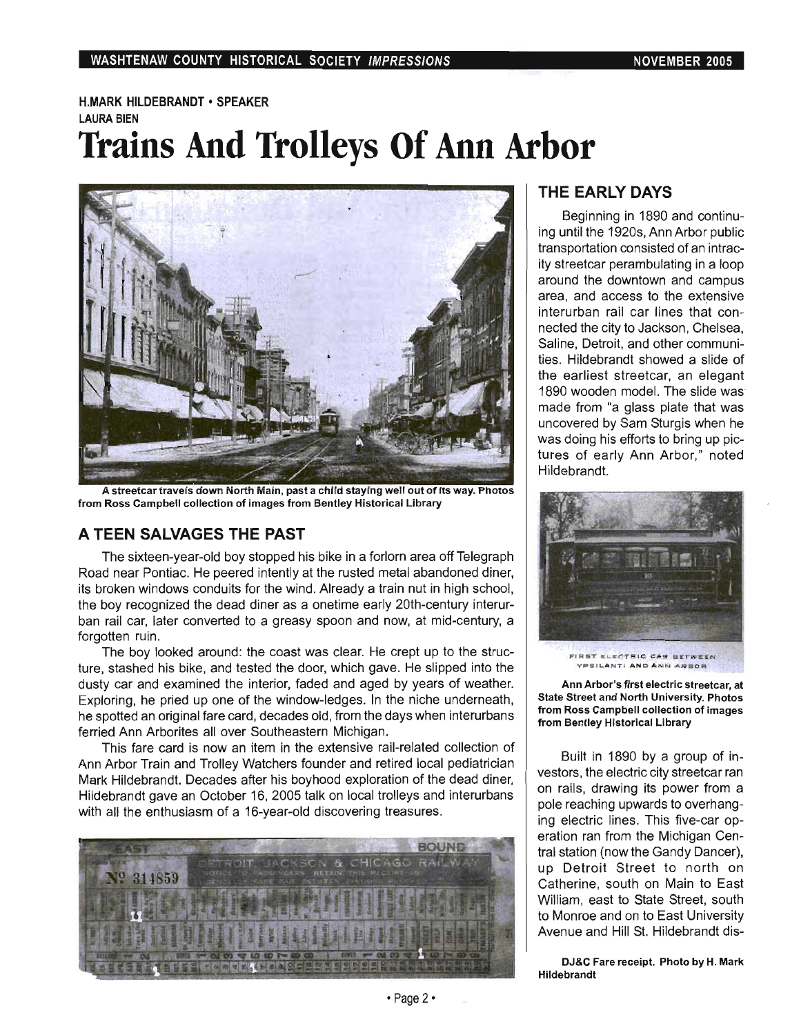# H.MARK HILDEBRANDT • SPEAKER LAURA BIEN **Trains And Trolleys Of Ann Arbor**



A streetcar travels down North Main, past a child staying well out of its way. Photos from Ross Campbell collection of images from Bentley Historical Library

# **A TEEN SALVAGES THE PAST**

The sixteen-year-old boy stopped his bike in a forlorn area off Telegraph Road near Pontiac. He peered intently at the rusted metal abandoned diner, its broken windows conduits for the wind. Already a train nut in high school, the boy recognized the dead diner as a onetime early 20th-century interurban rail car, later converted to a greasy spoon and now, at mid-century, a forgotten ruin.

The boy looked around: the coast was clear. He crept up to the structure, stashed his bike, and tested the door, which gave. He slipped into the dusty car and examined the interior, faded and aged by years of weather. Exploring, he pried up one of the window-ledges. In the niche underneath, he spotted an original fare card, decades old, from the days when interurbans ferried Ann Arborites all over Southeastern Michigan.

This fare card is now an item in the extensive rail-related collection of Ann Arbor Train and Trolley Watchers founder and retired local pediatrician Mark Hildebrandt. Decades after his boyhood exploration of the dead diner, Hildebrandt gave an October 16, 2005 talk on local trolleys and interurbans with all the enthusiasm of a 16-year-old discovering treasures.



# **THE EARLY DAYS**

Beginning in 1890 and continuing until the 1920s, Ann Arbor public transportation consisted of an intracity streetcar perambulating in a loop around the downtown and campus area, and access to the extensive interurban rail car lines that connected the city to Jackson, Chelsea, Saline, Detroit, and other communities. Hildebrandt showed a slide of the earliest streetcar, an elegant 1890 wooden model. The slide was' made from "a glass plate that was uncovered by Sam Sturgis when he was doing his efforts to bring up pictures of early Ann Arbor," noted Hildebrandt.



FIRST ELECTRIC CAN BETWEEN **VPS I L.ANT t AND ANN AAIIOR** 

Ann Arbor's first electric streetcar, at State Street and North University. Photos from Ross Campbell collection of images from Bentley Historical Library

Built in 1890 by a group of investors, the electric city streetcar ran on rails, drawing its power from a pole reaching upwards to overhanging electric lines. This five-car operation ran from the Michigan Central station (now the Gandy Dancer), up Detroit Street to north on Catherine, south on Main to East William, east to State Street, south to Monroe and on to East University Avenue and Hill St. Hildebrandt dis-

DJ&C Fare receipt. Photo by H. Mark Hildebrandt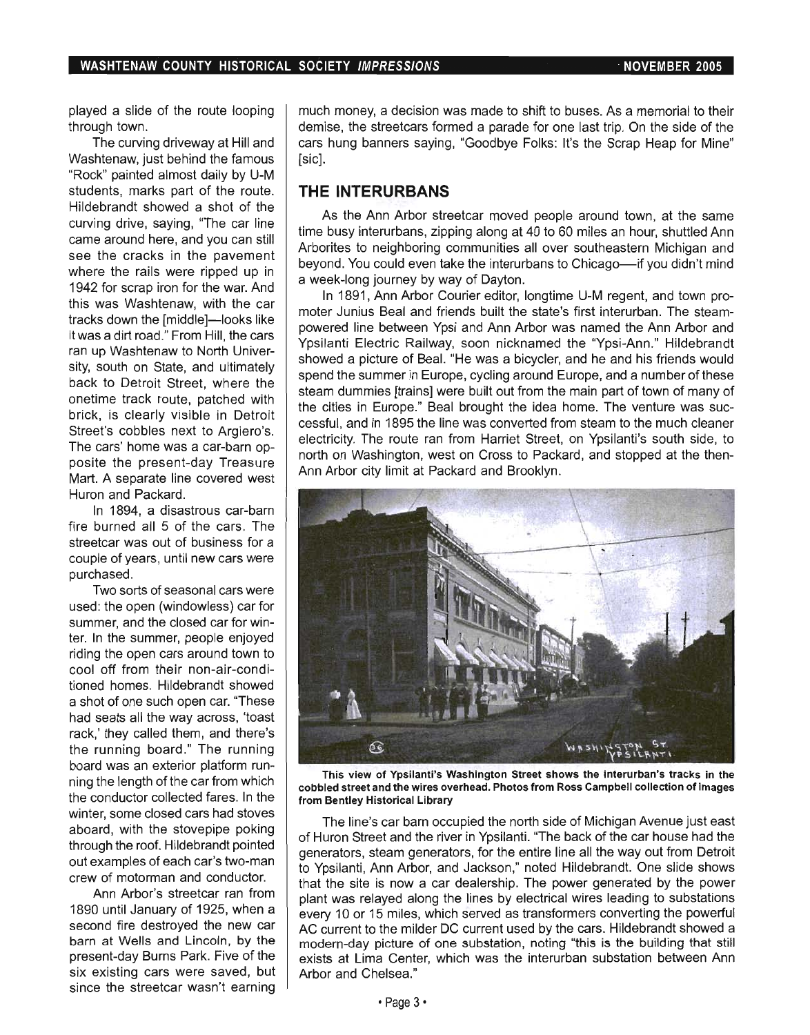played a slide of the route looping through town.

The curving driveway at Hill and Washtenaw, just behind the famous "Rock" painted almost daily by U-M students, marks part of the route. Hildebrandt showed a shot of the curving drive, saying, "The car line came around here, and you can still see the cracks in the pavement where the rails were ripped up in 1942 for scrap iron for the war. And this was Washtenaw, with the car tracks down the [middle]-looks like it was a dirt road." From Hill, the cars ran up Washtenaw to North University, south on State, and ultimately back to Detroit Street, where the onetime track route, patched with brick, is clearly visible in Detroit Street's cobbles next to Argiero's. The cars' home was a car-barn opposite the present-day Treasure Mart. A separate line covered west Huron and Packard.

In 1894, a disastrous car-barn fire burned all 5 of the cars. The streetcar was out of business for a couple of years, until new cars were purchased.

Two sorts of seasonal cars were used: the open (windowless) car for summer, and the closed car for winter. In the summer, people enjoyed riding the open cars around town to cool off from their non-air-conditioned homes. Hildebrandt showed a shot of one such open car. "These had seats all the way across, 'toast rack,' they called them, and there's the running board." The running board was an exterior platform running the length of the car from which the conductor collected fares. In the winter, some closed cars had stoves aboard, with the stovepipe poking through the roof. Hildebrandt pointed out examples of each car's two-man crew of motorman and conductor.

Ann Arbor's streetcar ran from 1890 until January of 1925, when a second fire destroyed the new car barn at Wells and Lincoln, by the present-day Burns Park. Five of the six existing cars were saved, but since the streetcar wasn't earning much money, a decision was made to shift to buses. As a memorial to their demise, the streetcars formed a parade for one last trip. On the side of the cars hung banners saying, "Goodbye Folks: It's the Scrap Heap for Mine" [sic].

### **THE INTERURBANS**

As the Ann Arbor streetcar moved people around town, at the same time busy interurbans, zipping along at 40 to 60 miles an hour, shuttled Ann Arborites to neighboring communities all over southeastern Michigan and beyond. You could even take the interurbans to Chicago—if you didn't mind a week-long journey by way of Dayton.

In 1891, Ann Arbor Courier editor, longtime U-M regent, and town promoter Junius Beal and friends built the state's first interurban. The steampowered line between Ypsi and Ann Arbor was named the Ann Arbor and Ypsilanti Electric Railway, soon nicknamed the "Ypsi-Ann." Hildebrandt showed a picture of Beal. "He was a bicycler, and he and his friends would spend the summer in Europe, cycling around Europe, and a number of these steam dummies [trains] were built out from the main part of town of many of the cities in Europe." Beal brought the idea home. The venture was successful, and in 1895 the line was converted from steam to the much cleaner electricity. The route ran from Harriet Street, on Ypsilanti's south side, to north on Washington, west on Cross to Packard, and stopped at the then-Ann Arbor city limit at Packard and Brooklyn.



This view of Ypsilanti's Washington Street shows the interurban's tracks in the cobbled street and the wires overhead. Photos from Ross Campbell collection of images from Bentley Historical Library

The line's car barn occupied the north side of Michigan Avenue just east of Huron Street and the river in Ypsilanti. "The back of the car house had the generators, steam generators, for the entire line all the way out from Detroit to Ypsilanti, Ann Arbor, and Jackson," noted Hildebrandt. One slide shows that the site is now a car dealership. The power generated by the power plant was relayed along the lines by electrical wires leading to substations every 10 or 15 miles, which served as transformers converting the powerful AC current to the milder DC current used by the cars. Hildebrandt showed a modern-day picture of one substation, noting "this is the building that still exists at Lima Center, which was the interurban substation between Ann Arbor and Chelsea."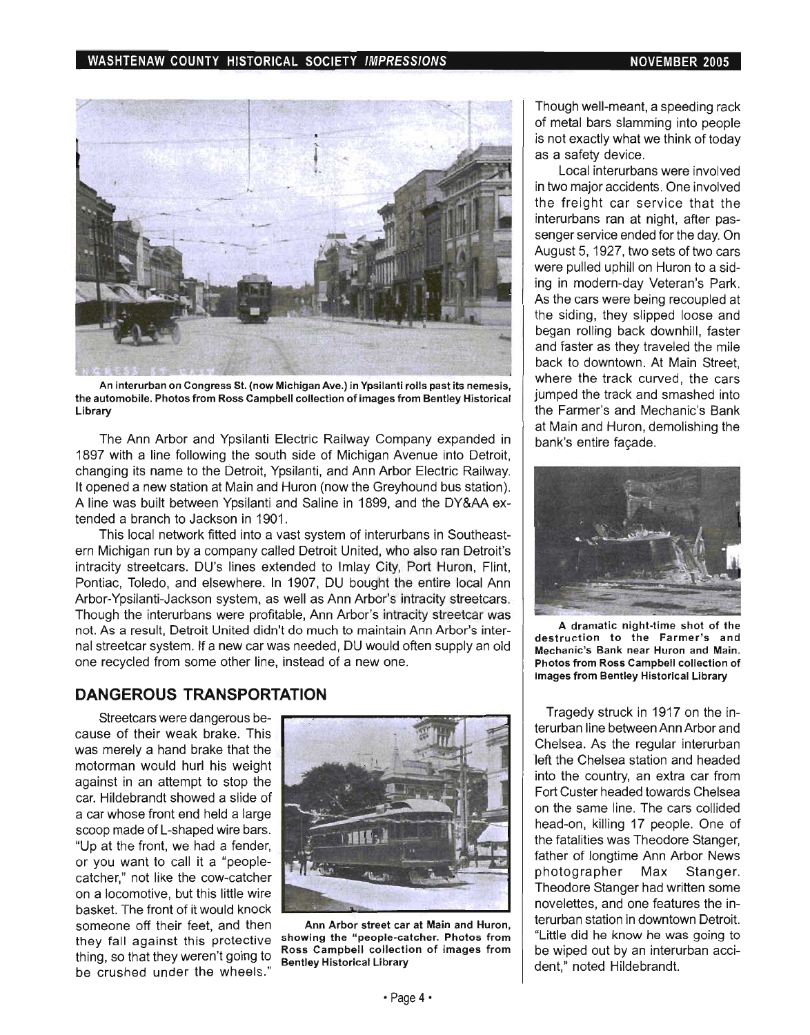### WASHTENAW COUNTY HISTORICAL SOCIETY IMPRESSIONS NOVEMBER 2005



An interurban on Congress St. (now Michigan Ave.) in Ypsilanti rolls past its nemesis, the automobile. Photos from Ross Campbell collection of images from Bentley Historical Library

The Ann Arbor and Ypsilanti Electric Railway Company expanded in 1897 with a line following the south side of Michigan Avenue into Detroit, changing its name to the Detroit, Ypsilanti, and Ann Arbor Electric Railway. It opened a new station at Main and Huron (now the Greyhound bus station). A line was built between Ypsilanti and Saline in 1899, and the DY&AA extended a branch to Jackson in 1901.

This local network fitted into a vast system of interurbans in Southeastern Michigan run by a company called Detroit United, who also ran Detroit's intracity streetcars. DU's lines extended to Imlay City, Port Huron, Flint, Pontiac, Toledo, and elsewhere. In 1907, DU bought the entire local Ann Arbor-Ypsilanti-Jackson system, as well as Ann Arbor's intracity streetcars. Though the interurbans were profitable, Ann Arbor's intracity streetcar was not. As a result, Detroit United didn't do much to maintain Ann Arbor's internal streetcar system. If a new car was needed, DU would often supply an old one recycled from some other line, instead of a new one.

### **DANGEROUS TRANSPORTATION**

Streetcars were dangerous because of their weak brake. This was merely a hand brake that the motorman would hurl his weight against in an attempt to stop the car. Hildebrandt showed a slide of a car whose front end held a large scoop made of L-shaped wire bars. "Up at the front, we had a fender, or you want to call it a "peoplecatcher," not like the cow-catcher on a locomotive, but this little wire basket. The front of it would knock someone off their feet, and then they fall against this protective thing, so that they weren't going to be crushed under the wheels."



Ann Arbor street car at Main and Huron, showing the "people-catcher. Photos from Ross Campbell collection of images from Bentley Historical Library

Though well-meant, a speeding rack of metal bars slamming into people is not exactly what we think of today as a safety device.

Local interurbans were involved in two major accidents. One involved the freight car service that the interurbans ran at night, after passenger service ended for the day. On August 5, 1927, two sets of two cars were pulled uphill on Huron to a siding in modern-day Veteran's Park. As the cars were being recoupled at the siding, they slipped loose and began rolling back downhill, faster and faster as they traveled the mile back to downtown. At Main Street, where the track curved, the cars jumped the track and smashed into the Farmer's and Mechanic's Bank at Main and Huron, demolishing the bank's entire facade.



A dramatic night-time shot of the destruction to the Farmer's and Mechanic's Bank near Huron and Main. Photos from Ross Campbell collection of images from Bentley Historical Library

Tragedy struck in 1917 on the interurban line between Ann Arbor and Chelsea. As the regular interurban left the Chelsea station and headed into the country, an extra car from Fort Custer headed towards Chelsea on the same line. The cars collided head-on, killing 17 people. One of the fatalities was Theodore Stanger, father of longtime Ann Arbor News photographer Max Stanger. Theodore Stanger had written some novelettes, and one features the interurban station in downtown Detroit. "Little did he know he was going to be wiped out by an interurban accident," noted Hildebrandt.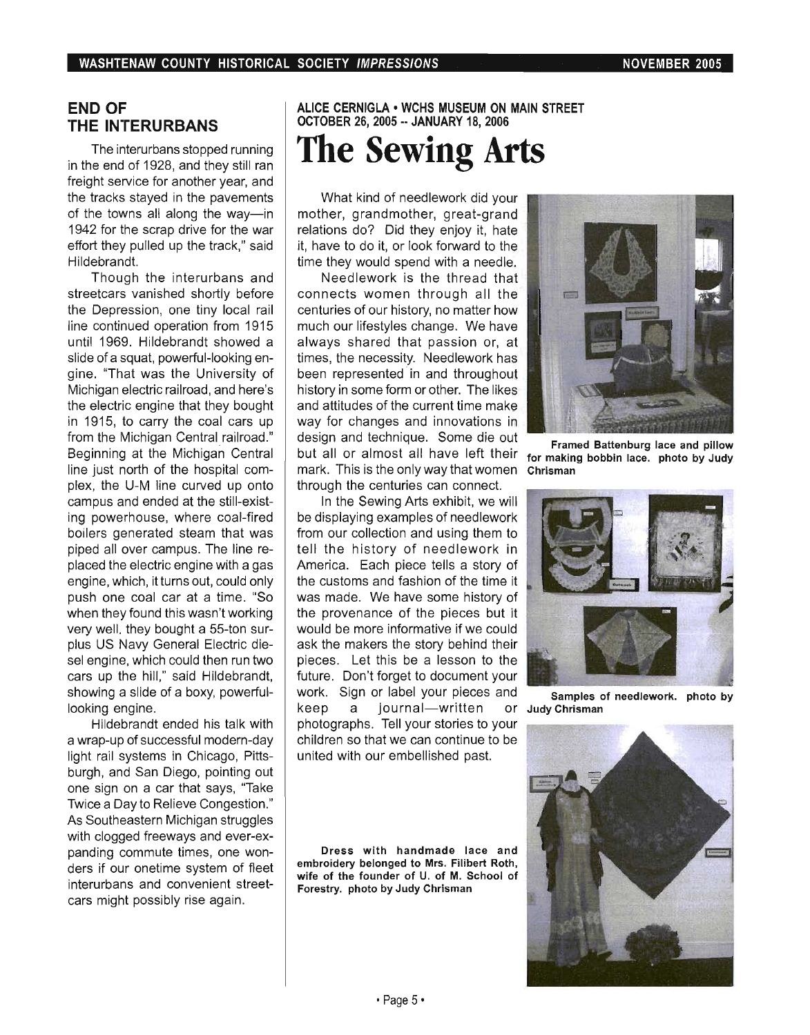## **END OF THE INTERURBANS**

The interurbans stopped running in the end of 1928, and they still ran freight service for another year, and the tracks stayed in the pavements of the towns all along the way-in 1942 for the scrap drive for the war effort they pulled up the track," said Hildebrandt.

Though the interurbans and streetcars vanished shortly before the Depression, one tiny local rail line continued operation from 1915 until 1969. Hildebrandt showed a slide of a squat, powerful-looking engine. "That was the University of Michigan electric railroad, and here's the electric engine that they bought in 1915, to carry the coal cars up from the Michigan Central railroad." Beginning at the Michigan Central line just north of the hospital complex, the U-M line curved up onto campus and ended at the stili-existing powerhouse, where coal-fired boilers generated steam that was piped all over campus. The line replaced the electric engine with a gas engine, which, it turns out, could only push one coal car at a time. "So when they found this wasn't working very well. they bought a 55-ton surplus US Navy General Electric diesel engine, which could then run two cars up the hill," said Hildebrandt, showing a slide of a boxy, powerfullooking engine.

Hildebrandt ended his talk with a wrap-up of successful modern-day light rail systems in Chicago, Pittsburgh, and San Diego, pointing out one sign on a car that says, "Take Twice a Day to Relieve Congestion." As Southeastern Michigan struggles with clogged freeways and ever-expanding commute times, one wonders if our onetime system of fleet interurbans and convenient streetcars might possibly rise again.

# ALICE CERNIGLA • WCHS MUSEUM ON MAIN STREET OCTOBER 26, 2005 •• JANUARY 18, 2006 **The Sewing Arts**

What kind of needlework did your mother, grandmother, great-grand relations do? Did they enjoy it, hate it, have to do it, or look forward to the time they would spend with a needle.

Needlework is the thread that connects women through all the centuries of our history, no matter how much our lifestyles change. We have always shared that passion or, at times, the necessity. Needlework has been represented in and throughout history in some form or other. The likes and attitudes of the current time make way for changes and innovations in design and technique. Some die out but all or almost all have left their mark. This is the only way that women through the centuries can connect.

In the Sewing Arts exhibit, we will be displaying examples of needlework from our collection and using them to tell the history of needlework in America. Each piece tells a story of the customs and fashion of the time it was made. We have some history of the provenance of the pieces but it would be more informative if we could ask the makers the story behind their pieces. Let this be a lesson to the future. Don't forget to document your work. Sign or label your pieces and keep a journal-written photographs. Tell your stories to your children so that we can continue to be united with our embellished past.

Dress with handmade lace and embroidery belonged to Mrs. Filibert Roth, wife of the founder of U. of M. School of Forestry. photo by Judy Chrisman



Framed Battenburg lace and pillow for making bobbin lace. photo by Judy Chrisman



Samples of needlework. photo by Of Judy Chrisman

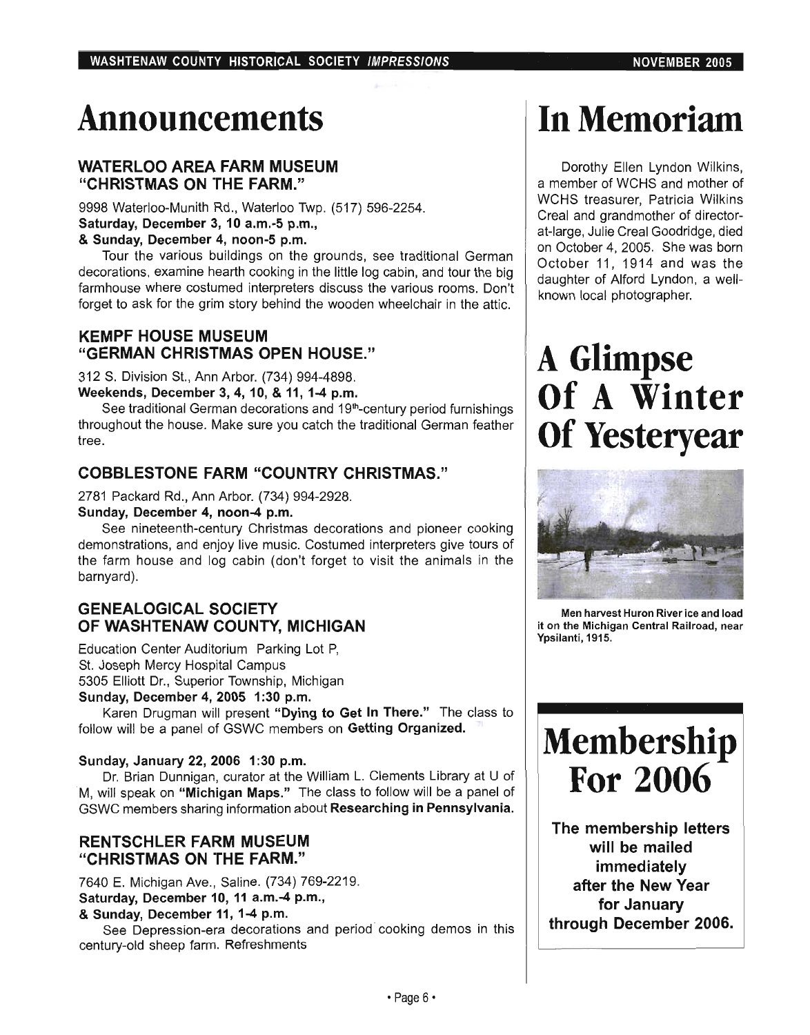# Announcements

# WATERLOO AREA FARM MUSEUM "CHRISTMAS ON THE FARM."

9998 Waterloo-Munith Rd., Waterloo Twp. (517) 596-2254. Saturday, December 3, 10 a.m.-5 p.m.,

### & Sunday, December 4, noon-5 p.m.

Tour the various buildings on the grounds, see traditional German decorations, examine hearth cooking in the little log cabin, and tour the big farmhouse where costumed interpreters discuss the various rooms. Don't forget to ask for the grim story behind the wooden wheelchair in the attic.

# KEMPF HOUSE MUSEUM "GERMAN CHRISTMAS OPEN HOUSE."

312 S. Division St., Ann Arbor. (734) 994-4898.

Weekends, December 3, 4, 10, & 11, 1-4 p.m.

See traditional German decorations and 19<sup>th</sup>-century period furnishings throughout the house. Make sure you catch the traditional German feather tree.

# COBBLESTONE FARM "COUNTRY CHRISTMAS."

2781 Packard Rd., Ann Arbor. (734) 994-2928.

Sunday, December 4, noon-4 p.m.

See nineteenth-century Christmas decorations and pioneer cooking demonstrations, and enjoy live music. Costumed interpreters give tours of the farm house and log cabin (don't forget to visit the animals in the barnyard).

# GENEALOGICAL SOCIETY OF WASHTENAW COUNTY, MICHIGAN

Education Center Auditorium Parking Lot P, St. Joseph Mercy Hospital Campus 5305 Elliott Dr., Superior Township, Michigan

Sunday, December 4, 2005 1:30 p.m.

Karen Drugman will present "Dying to Get In There." The class to follow will be a panel of GSWC members on Getting Organized.

### Sunday, January 22, 2006 1:30 p.m.

Dr. Brian Dunnigan, curator at the William L. Clements Library at U of M, will speak on "Michigan Maps." The class to follow will be a panel of GSWC members sharing information about Researching in Pennsylvania.

## RENTSCHLER FARM MUSEUM "CHRISTMAS ON THE FARM."

7640 E. Michigan Ave., Saline. (734) 769-2219. Saturday, December 10, 11 a.m.-4 p.m.,

& Sunday, December 11,1-4 p.m.

See Depression-era decorations and period cooking demos in this century-old sheep farm. Refreshments

# In Memoriam

Dorothy Ellen Lyndon Wilkins, a member of WCHS and mother of WCHS treasurer, Patricia Wilkins Creal and grandmother of directorat-large, Julie Creal Goodridge, died on October 4, 2005. She was born October 11, 1914 and was the daughter of Alford Lyndon, a wellknown local photographer.

# A Glimpse Of A Winter Of Yesteryear



Men harvest Huron River ice and load it on the Michigan Central Railroad, near Ypsilanti, 1915.



The membership letters will be mailed immediately after the New Year for January through December 2006.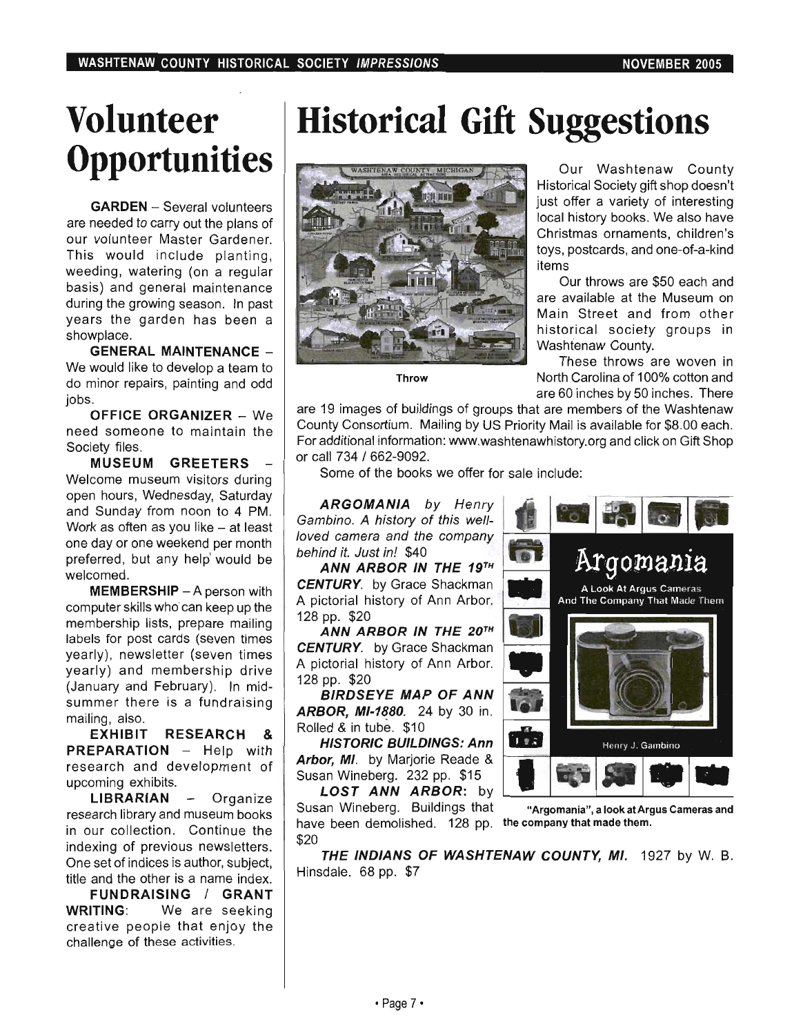# **Volunteer Opportunities**

**GARDEN** - Several volunteers are needed to carry out the plans of our volunteer Master Gardener. This would include planting, weeding, watering (on a regular basis) and general maintenance during the growing season. In past years the garden has been a showplace.

**GENERAL MAINTENANCE** - We would like to develop a team to do minor repairs, painting and odd jobs.

**OFFICE ORGANIZER - We** need someone to maintain the Society files.

**MUSEUM GREETERS**  Welcome museum visitors during open hours, Wednesday, Saturday and Sunday from noon to 4 PM. Work as often as you like  $-$  at least one day or one weekend per month preferred, but any help' would be welcomed.

**MEMBERSHIP** - A person with computer skills who can keep up the membership lists, prepare mailing labels for post cards (seven times yearly), newsletter (seven times yearly) and membership drive (January and February). In midsummer there is a fundraising mailing, also.

**EXHIBIT RESEARCH & PREPARATION** - Help with research and development of upcoming exhibits.

LIBRARIAN - Organize research library and museum books in our collection. Continue the indexing of previous newsletters. One set of indices is author, subject, title and the other is a name index.

**FUNDRAISING I GRANT WRITING:** We are seeking creative people that enjoy the challenge of these activities.

# **Historical Gift Suggestions**



Our Washtenaw County Historical Society gift shop doesn't just offer a variety of interesting local history books. We also have Christmas ornaments, children's toys, postcards, and one-of-a-kind items

Our throws are \$50 each and are available at the Museum on Main Street and from other historical society groups in Washtenaw County.

These throws are woven in Throw North Carolina of 100% cotton and are 60 inches by 50 inches. There

are 19 images of buildings of groups that are members of the Washtenaw County Consortium. Mailing by US Priority Mail is available for \$8.00 each. For additional information: www.washtenawhistory.org and click on Gift Shop or call 734 / 662-9092.

Some of the books we offer for sale include:

**ARGOMANIA** by Henry Gambino. A history of this well- <sup>1</sup>  $l$  ambino. A history of this well- $l$  ,  $l$  ,  $l$  ,  $l$  ,  $l$  ,  $l$  ,  $l$  ,  $l$  ,  $l$  ,  $l$  ,  $l$  ,  $l$  ,  $l$  ,  $l$  ,  $l$  ,  $l$  ,  $l$  ,  $l$  ,  $l$  ,  $l$  ,  $l$  ,  $l$  ,  $l$  ,  $l$  ,  $l$  ,  $l$  ,  $l$  ,  $l$  ,  $l$  ,  $l$  ,  $l$  , loved camera and the company<br>behind it. Just in! \$40

**ANN ARBOR IN THE 19TH CENTURY.** by Grace Shackman A pictorial history of Ann Arbor. 128 pp. \$20

**ANN ARBOR IN THE** *20*TH **CENTURY.** by Grace Shackman A pictorial history of Ann Arbor. 128 pp. \$20

**BIRDSEYE MAP OF ANN ARBOR, MI-1880.** 24 by 30 in. Rolled & in tube. \$10

**HISTORIC BUILDINGS: Ann Arbor, MI.** by Marjorie Reade & Susan Wineberg. 232 pp. \$15

**LOST ANN ARBOR:** by Susan Wineberg. Buildings that "Argomania", a look at Argus Cameras and have been demolished. 128 pp. the company that made them. \$20



**THE INDIANS OF WASHTENAW COUNTY,** MI. 1927 by W. B. Hinsdale. 68 pp. \$7